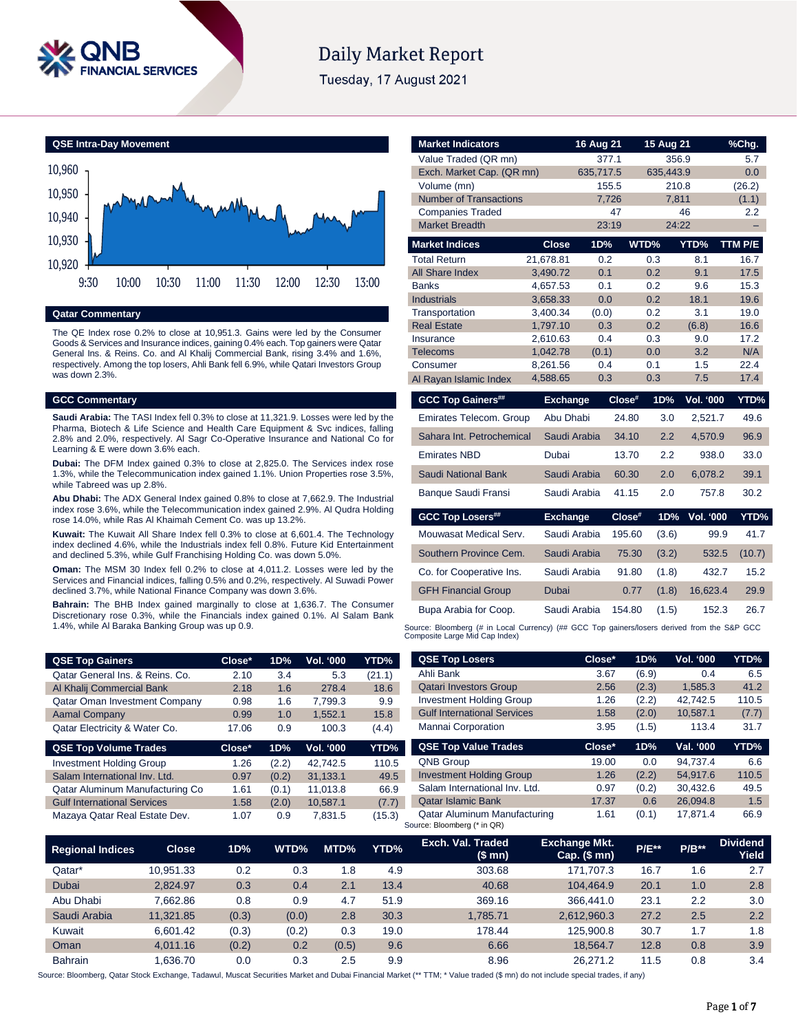

# **Daily Market Report**

Tuesday, 17 August 2021

**QSE Intra-Day Movement**



# **Qatar Commentary**

The QE Index rose 0.2% to close at 10,951.3. Gains were led by the Consumer Goods & Services and Insurance indices, gaining 0.4% each. Top gainers were Qatar General Ins. & Reins. Co. and Al Khalij Commercial Bank, rising 3.4% and 1.6%, respectively. Among the top losers, Ahli Bank fell 6.9%, while Qatari Investors Group was down 2.3%.

### **GCC Commentary**

**Saudi Arabia:** The TASI Index fell 0.3% to close at 11,321.9. Losses were led by the Pharma, Biotech & Life Science and Health Care Equipment & Svc indices, falling 2.8% and 2.0%, respectively. Al Sagr Co-Operative Insurance and National Co for Learning & E were down 3.6% each.

**Dubai:** The DFM Index gained 0.3% to close at 2,825.0. The Services index rose 1.3%, while the Telecommunication index gained 1.1%. Union Properties rose 3.5%, while Tabreed was up 2.8%.

**Abu Dhabi:** The ADX General Index gained 0.8% to close at 7,662.9. The Industrial index rose 3.6%, while the Telecommunication index gained 2.9%. Al Qudra Holding rose 14.0%, while Ras Al Khaimah Cement Co. was up 13.2%.

**Kuwait:** The Kuwait All Share Index fell 0.3% to close at 6,601.4. The Technology index declined 4.6%, while the Industrials index fell 0.8%. Future Kid Entertainment and declined 5.3%, while Gulf Franchising Holding Co. was down 5.0%.

**Oman:** The MSM 30 Index fell 0.2% to close at 4,011.2. Losses were led by the Services and Financial indices, falling 0.5% and 0.2%, respectively. Al Suwadi Power declined 3.7%, while National Finance Company was down 3.6%.

**Bahrain:** The BHB Index gained marginally to close at 1,636.7. The Consumer Discretionary rose 0.3%, while the Financials index gained 0.1%. Al Salam Bank 1.4%, while Al Baraka Banking Group was up 0.9.

| <b>Market Indicators</b>       |                      | 16 Aug 21    |            | 15 Aug 21               | %Chg.                 |
|--------------------------------|----------------------|--------------|------------|-------------------------|-----------------------|
| Value Traded (QR mn)           |                      | 377.1        |            | 356.9                   | 5.7                   |
| Exch. Market Cap. (QR mn)      |                      | 635,717.5    |            | 635,443.9               | 0.0                   |
| Volume (mn)                    |                      | 155.5        |            | 210.8                   | (26.2)                |
| <b>Number of Transactions</b>  |                      | 7,726        |            | 7,811                   | (1.1)                 |
| <b>Companies Traded</b>        |                      | 47           |            | 46                      | 2.2                   |
| <b>Market Breadth</b>          |                      | 23:19        |            | 24:22                   |                       |
| <b>Market Indices</b>          | <b>Close</b>         | 1D%          | WTD%       | YTD%                    | TTM P/E               |
| <b>Total Return</b>            | 21.678.81            | 0.2          | 0.3        | 8.1                     | 16.7                  |
| <b>All Share Index</b>         | 3,490.72             | 0.1          | 0.2        | 9.1                     | 17.5                  |
| Banks                          | 4,657.53             | 0.1          | 0.2        | 9.6                     | 15.3                  |
| <b>Industrials</b>             | 3,658.33             | 0.0          | 0.2        | 18.1                    | 19.6                  |
| Transportation                 | 3,400.34             | (0.0)        | 0.2        | 3.1                     | 19.0                  |
| <b>Real Estate</b>             | 1,797.10             | 0.3          | 0.2        | (6.8)                   | 16.6                  |
| Insurance<br><b>Telecoms</b>   | 2,610.63<br>1,042.78 | 0.4<br>(0.1) | 0.3<br>0.0 | 9.0<br>3.2              | 17.2<br>N/A           |
| Consumer                       | 8,261.56             | 0.4          | 0.1        | 1.5                     | 22.4                  |
| Al Rayan Islamic Index         | 4,588.65             | 0.3          | 0.3        | 7.5                     | 17.4                  |
|                                |                      |              |            |                         |                       |
| <b>GCC Top Gainers##</b>       | <b>Exchange</b>      |              | Close#     | 1D%<br><b>Vol. '000</b> | YTD%                  |
| <b>Emirates Telecom. Group</b> | Abu Dhabi            |              | 24.80      | 3.0<br>2,521.7          | 49.6                  |
| Sahara Int. Petrochemical      |                      | Saudi Arabia | 34.10      | 2.2<br>4,570.9          | 96.9                  |
| <b>Emirates NBD</b>            | Dubai                |              | 13.70      | 2.2<br>938.0            | 33.0                  |
| Saudi National Bank            |                      | Saudi Arabia | 60.30      | 2.0<br>6,078.2          | 39.1                  |
| Banque Saudi Fransi            |                      | Saudi Arabia | 41.15      | 2.0                     | 30.2<br>757.8         |
| <b>GCC Top Losers##</b>        | <b>Exchange</b>      |              | Close#     | 1D%<br>Vol. '000        | YTD%                  |
| Mouwasat Medical Serv.         |                      | Saudi Arabia | 195.60     | (3.6)                   | 99.9<br>41.7          |
| Southern Province Cem.         |                      | Saudi Arabia | 75.30      | (3.2)                   | 532.5<br>(10.7)       |
|                                |                      | Saudi Arabia | 91.80      | (1.8)                   | 432.7<br>15.2         |
| Co. for Cooperative Ins.       |                      |              |            |                         |                       |
| <b>GFH Financial Group</b>     | Dubai                |              | 0.77       | (1.8)<br>16.623.4       |                       |
| Bupa Arabia for Coop.          |                      | Saudi Arabia | 154.80     | (1.5)                   | 29.9<br>152.3<br>26.7 |

| <b>QSE Top Gainers</b>             | Close* | 1D%   | Vol. '000 | YTD%   | <b>QSE Top Losers</b>                                              | Close* | 1D%   | <b>Vol. '000</b> | YTD%  |
|------------------------------------|--------|-------|-----------|--------|--------------------------------------------------------------------|--------|-------|------------------|-------|
| Qatar General Ins. & Reins. Co.    | 2.10   | 3.4   | 5.3       | (21.1) | Ahli Bank                                                          | 3.67   | (6.9) | 0.4              | 6.5   |
| Al Khalij Commercial Bank          | 2.18   | 1.6   | 278.4     | 18.6   | <b>Qatari Investors Group</b>                                      | 2.56   | (2.3) | 1.585.3          | 41.2  |
| Qatar Oman Investment Company      | 0.98   | 1.6   | 7.799.3   | 9.9    | <b>Investment Holding Group</b>                                    | 1.26   | (2.2) | 42.742.5         | 110.5 |
| <b>Aamal Company</b>               | 0.99   | 1.0   | 1.552.1   | 15.8   | <b>Gulf International Services</b>                                 | 1.58   | (2.0) | 10,587.1         | (7.7) |
| Qatar Electricity & Water Co.      | 17.06  | 0.9   | 100.3     | (4.4)  | Mannai Corporation                                                 | 3.95   | (1.5) | 113.4            | 31.7  |
| <b>QSE Top Volume Trades</b>       | Close* | 1D%   | Vol. '000 | YTD%   | <b>QSE Top Value Trades</b>                                        | Close* | 1D%   | Val. '000        | YTD%  |
| <b>Investment Holding Group</b>    | . 26   | (2.2) | 42.742.5  | 110.5  | QNB Group                                                          | 19.00  | 0.0   | 94.737.4         | 6.6   |
| Salam International Inv. Ltd.      | 0.97   | (0.2) | 31.133.1  | 49.5   | <b>Investment Holding Group</b>                                    | 1.26   | (2.2) | 54.917.6         | 110.5 |
| Qatar Aluminum Manufacturing Co    | 1.61   | (0.1) | 11.013.8  | 66.9   | Salam International Inv. Ltd.                                      | 0.97   | (0.2) | 30.432.6         | 49.5  |
| <b>Gulf International Services</b> | 1.58   | (2.0) | 10.587.1  | (7.7)  | <b>Qatar Islamic Bank</b>                                          | 17.37  | 0.6   | 26.094.8         | 1.5   |
| Mazaya Qatar Real Estate Dev.      | 1.07   | 0.9   | 7,831.5   | (15.3) | <b>Qatar Aluminum Manufacturing</b><br>Source: Bloomberg (* in QR) | 1.61   | (0.1) | 17.871.4         | 66.9  |

| <b>Regional Indices</b> | <b>Close</b> | 1D%   | WTD%  | MTD%  | YTD% | Exch. Val. Traded<br>(\$ mn) | <b>Exchange Mkt.</b><br>$Cap.$ (\$ mn) | $P/E***$ | $P/B**$ | <b>Dividend</b><br>Yield |
|-------------------------|--------------|-------|-------|-------|------|------------------------------|----------------------------------------|----------|---------|--------------------------|
| Qatar*                  | 10.951.33    | 0.2   | 0.3   | 8. ا  | 4.9  | 303.68                       | 171.707.3                              | 16.7     | 1.6     | 2.7                      |
| Dubai                   | 2.824.97     | 0.3   | 0.4   | 2.1   | 13.4 | 40.68                        | 104.464.9                              | 20.1     | 1.0     | 2.8                      |
| Abu Dhabi               | 7.662.86     | 0.8   | 0.9   | 4.7   | 51.9 | 369.16                       | 366.441.0                              | 23.1     | 2.2     | 3.0                      |
| Saudi Arabia            | 11.321.85    | (0.3) | (0.0) | 2.8   | 30.3 | 1.785.71                     | 2.612.960.3                            | 27.2     | 2.5     | 2.2                      |
| Kuwait                  | 6.601.42     | (0.3) | (0.2) | 0.3   | 19.0 | 178.44                       | 125.900.8                              | 30.7     | 1.7     | 1.8                      |
| Oman                    | 4.011.16     | (0.2) | 0.2   | (0.5) | 9.6  | 6.66                         | 18.564.7                               | 12.8     | 0.8     | 3.9                      |
| <b>Bahrain</b>          | .636.70      | 0.0   | 0.3   | 2.5   | 9.9  | 8.96                         | 26.271.2                               | 11.5     | 0.8     | 3.4                      |

Source: Bloomberg, Qatar Stock Exchange, Tadawul, Muscat Securities Market and Dubai Financial Market (\*\* TTM; \* Value traded (\$ mn) do not include special trades, if any)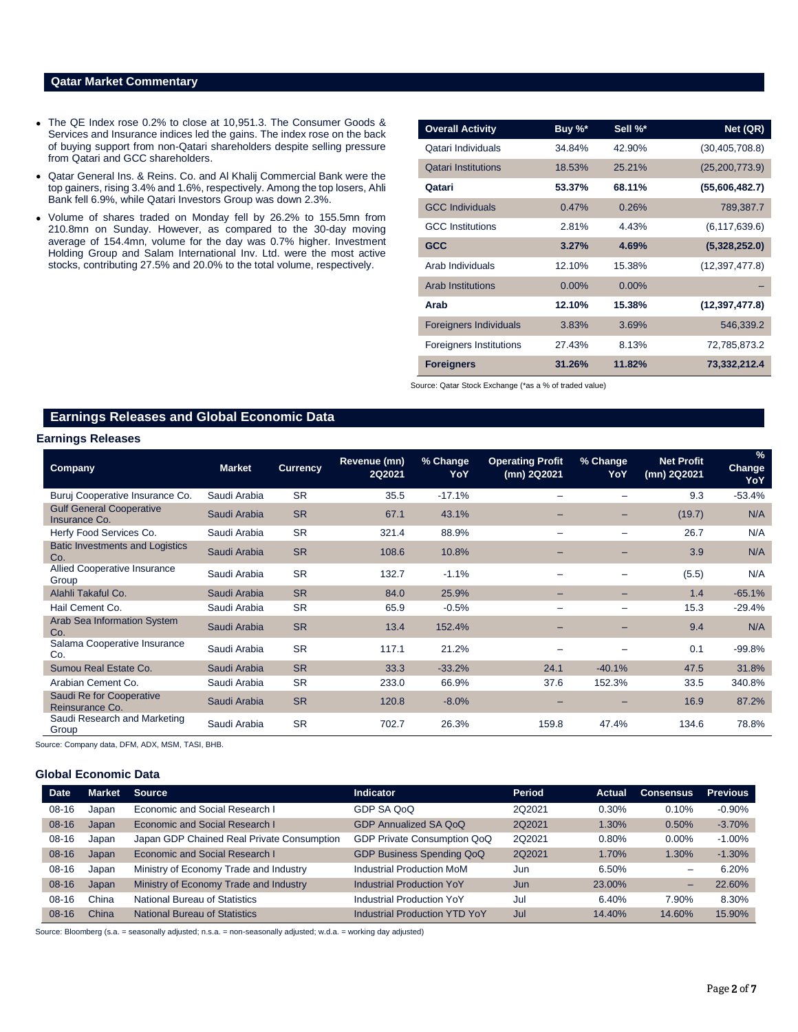## **Qatar Market Commentary**

- The QE Index rose 0.2% to close at 10,951.3. The Consumer Goods & Services and Insurance indices led the gains. The index rose on the back of buying support from non-Qatari shareholders despite selling pressure from Qatari and GCC shareholders.
- Qatar General Ins. & Reins. Co. and Al Khalij Commercial Bank were the top gainers, rising 3.4% and 1.6%, respectively. Among the top losers, Ahli Bank fell 6.9%, while Qatari Investors Group was down 2.3%.
- Volume of shares traded on Monday fell by 26.2% to 155.5mn from 210.8mn on Sunday. However, as compared to the 30-day moving average of 154.4mn, volume for the day was 0.7% higher. Investment Holding Group and Salam International Inv. Ltd. were the most active stocks, contributing 27.5% and 20.0% to the total volume, respectively.

| <b>Overall Activity</b>        | Buy %*   | Sell %*  | Net (QR)         |
|--------------------------------|----------|----------|------------------|
| Qatari Individuals             | 34.84%   | 42.90%   | (30, 405, 708.8) |
| <b>Oatari Institutions</b>     | 18.53%   | 25.21%   | (25, 200, 773.9) |
| Qatari                         | 53.37%   | 68.11%   | (55,606,482.7)   |
| <b>GCC Individuals</b>         | 0.47%    | 0.26%    | 789,387.7        |
| <b>GCC</b> Institutions        | 2.81%    | 4.43%    | (6, 117, 639.6)  |
| <b>GCC</b>                     | 3.27%    | 4.69%    | (5,328,252.0)    |
| Arab Individuals               | 12.10%   | 15.38%   | (12, 397, 477.8) |
| <b>Arab Institutions</b>       | $0.00\%$ | $0.00\%$ |                  |
| Arab                           | 12.10%   | 15.38%   | (12, 397, 477.8) |
| <b>Foreigners Individuals</b>  | 3.83%    | 3.69%    | 546,339.2        |
| <b>Foreigners Institutions</b> | 27.43%   | 8.13%    | 72,785,873.2     |
| <b>Foreigners</b>              | 31.26%   | 11.82%   | 73,332,212.4     |

Source: Qatar Stock Exchange (\*as a % of traded value)

## **Earnings Releases and Global Economic Data**

#### **Earnings Releases**

| <b>Company</b>                                   | <b>Market</b> | <b>Currency</b> | Revenue (mn)<br>2Q2021 | % Change<br>YoY | <b>Operating Profit</b><br>(mn) 2Q2021 | % Change<br>YoY          | <b>Net Profit</b><br>(mn) 2Q2021 | $\%$<br>Change<br>YoY |
|--------------------------------------------------|---------------|-----------------|------------------------|-----------------|----------------------------------------|--------------------------|----------------------------------|-----------------------|
| Buruj Cooperative Insurance Co.                  | Saudi Arabia  | <b>SR</b>       | 35.5                   | $-17.1%$        | -                                      |                          | 9.3                              | $-53.4%$              |
| <b>Gulf General Cooperative</b><br>Insurance Co. | Saudi Arabia  | <b>SR</b>       | 67.1                   | 43.1%           | -                                      | $\overline{\phantom{0}}$ | (19.7)                           | N/A                   |
| Herfy Food Services Co.                          | Saudi Arabia  | <b>SR</b>       | 321.4                  | 88.9%           | $\overline{\phantom{0}}$               |                          | 26.7                             | N/A                   |
| <b>Batic Investments and Logistics</b><br>Co.    | Saudi Arabia  | <b>SR</b>       | 108.6                  | 10.8%           |                                        |                          | 3.9                              | N/A                   |
| <b>Allied Cooperative Insurance</b><br>Group     | Saudi Arabia  | <b>SR</b>       | 132.7                  | $-1.1%$         |                                        |                          | (5.5)                            | N/A                   |
| Alahli Takaful Co.                               | Saudi Arabia  | <b>SR</b>       | 84.0                   | 25.9%           | -                                      | $-$                      | 1.4                              | $-65.1%$              |
| Hail Cement Co.                                  | Saudi Arabia  | <b>SR</b>       | 65.9                   | $-0.5%$         |                                        |                          | 15.3                             | $-29.4%$              |
| <b>Arab Sea Information System</b><br>Co.        | Saudi Arabia  | <b>SR</b>       | 13.4                   | 152.4%          |                                        |                          | 9.4                              | N/A                   |
| Salama Cooperative Insurance<br>Co.              | Saudi Arabia  | <b>SR</b>       | 117.1                  | 21.2%           | -                                      |                          | 0.1                              | $-99.8%$              |
| Sumou Real Estate Co.                            | Saudi Arabia  | <b>SR</b>       | 33.3                   | $-33.2%$        | 24.1                                   | $-40.1%$                 | 47.5                             | 31.8%                 |
| Arabian Cement Co.                               | Saudi Arabia  | <b>SR</b>       | 233.0                  | 66.9%           | 37.6                                   | 152.3%                   | 33.5                             | 340.8%                |
| Saudi Re for Cooperative<br>Reinsurance Co.      | Saudi Arabia  | <b>SR</b>       | 120.8                  | $-8.0%$         | -                                      |                          | 16.9                             | 87.2%                 |
| Saudi Research and Marketing<br>Group            | Saudi Arabia  | <b>SR</b>       | 702.7                  | 26.3%           | 159.8                                  | 47.4%                    | 134.6                            | 78.8%                 |

Source: Company data, DFM, ADX, MSM, TASI, BHB.

#### **Global Economic Data**

| <b>Date</b> | Market | <b>Source</b>                              | <b>Indicator</b>                     | <b>Period</b> | Actual | <b>Consensus</b> | <b>Previous</b> |
|-------------|--------|--------------------------------------------|--------------------------------------|---------------|--------|------------------|-----------------|
| 08-16       | Japan  | Economic and Social Research I             | GDP SA QoQ                           | 2Q2021        | 0.30%  | 0.10%            | $-0.90%$        |
| $08-16$     | Japan  | Economic and Social Research I             | <b>GDP Annualized SA QoQ</b>         | 202021        | 1.30%  | 0.50%            | $-3.70%$        |
| $08 - 16$   | Japan  | Japan GDP Chained Real Private Consumption | GDP Private Consumption QoQ          | 202021        | 0.80%  | $0.00\%$         | $-1.00%$        |
| $08-16$     | Japan  | Economic and Social Research I             | <b>GDP Business Spending QoQ</b>     | 2Q2021        | 1.70%  | 1.30%            | $-1.30%$        |
| $08 - 16$   | Japan  | Ministry of Economy Trade and Industry     | Industrial Production MoM            | Jun           | 6.50%  | -                | 6.20%           |
| $08-16$     | Japan  | Ministry of Economy Trade and Industry     | <b>Industrial Production YoY</b>     | Jun           | 23.00% | -                | 22.60%          |
| $08-16$     | China  | <b>National Bureau of Statistics</b>       | <b>Industrial Production YoY</b>     | Jul           | 6.40%  | 7.90%            | 8.30%           |
| $08-16$     | China  | National Bureau of Statistics              | <b>Industrial Production YTD YoY</b> | Jul           | 14.40% | 14.60%           | 15.90%          |

Source: Bloomberg (s.a. = seasonally adjusted; n.s.a. = non-seasonally adjusted; w.d.a. = working day adjusted)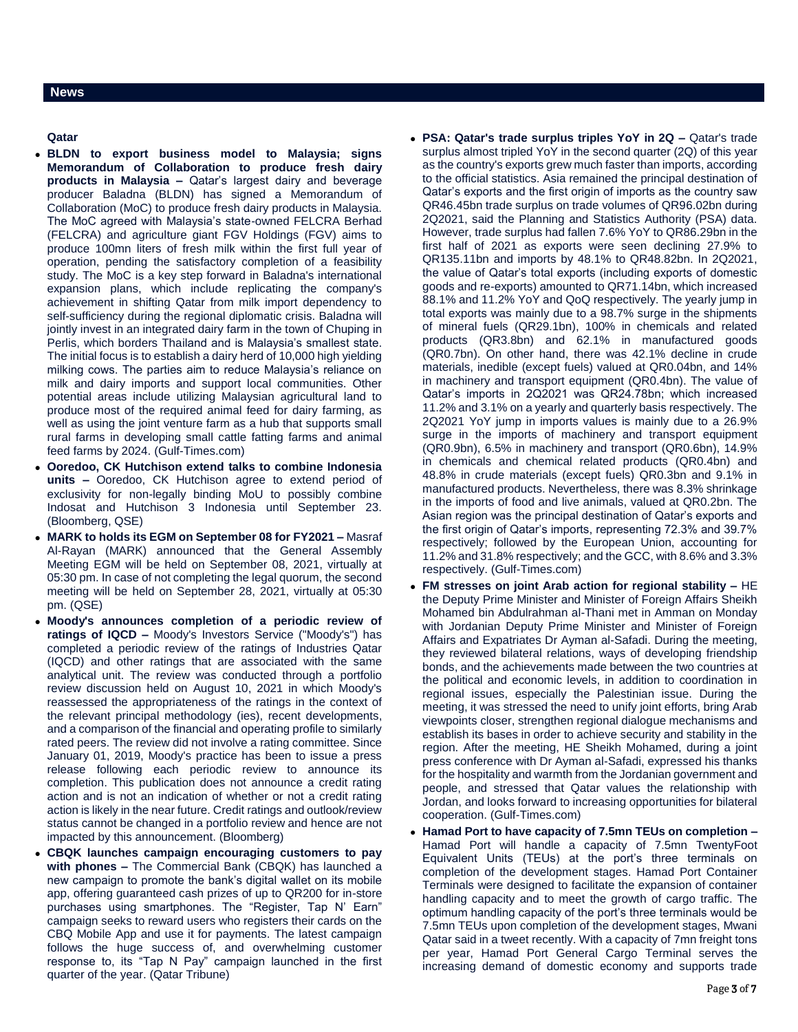#### **News**

### **Qatar**

- **BLDN to export business model to Malaysia; signs Memorandum of Collaboration to produce fresh dairy products in Malaysia –** Qatar's largest dairy and beverage producer Baladna (BLDN) has signed a Memorandum of Collaboration (MoC) to produce fresh dairy products in Malaysia. The MoC agreed with Malaysia's state-owned FELCRA Berhad (FELCRA) and agriculture giant FGV Holdings (FGV) aims to produce 100mn liters of fresh milk within the first full year of operation, pending the satisfactory completion of a feasibility study. The MoC is a key step forward in Baladna's international expansion plans, which include replicating the company's achievement in shifting Qatar from milk import dependency to self-sufficiency during the regional diplomatic crisis. Baladna will jointly invest in an integrated dairy farm in the town of Chuping in Perlis, which borders Thailand and is Malaysia's smallest state. The initial focus is to establish a dairy herd of 10,000 high yielding milking cows. The parties aim to reduce Malaysia's reliance on milk and dairy imports and support local communities. Other potential areas include utilizing Malaysian agricultural land to produce most of the required animal feed for dairy farming, as well as using the joint venture farm as a hub that supports small rural farms in developing small cattle fatting farms and animal feed farms by 2024. (Gulf-Times.com)
- **Ooredoo, CK Hutchison extend talks to combine Indonesia units –** Ooredoo, CK Hutchison agree to extend period of exclusivity for non-legally binding MoU to possibly combine Indosat and Hutchison 3 Indonesia until September 23. (Bloomberg, QSE)
- **MARK to holds its EGM on September 08 for FY2021 –** Masraf Al-Rayan (MARK) announced that the General Assembly Meeting EGM will be held on September 08, 2021, virtually at 05:30 pm. In case of not completing the legal quorum, the second meeting will be held on September 28, 2021, virtually at 05:30 pm. (QSE)
- **Moody's announces completion of a periodic review of ratings of IQCD –** Moody's Investors Service ("Moody's") has completed a periodic review of the ratings of Industries Qatar (IQCD) and other ratings that are associated with the same analytical unit. The review was conducted through a portfolio review discussion held on August 10, 2021 in which Moody's reassessed the appropriateness of the ratings in the context of the relevant principal methodology (ies), recent developments, and a comparison of the financial and operating profile to similarly rated peers. The review did not involve a rating committee. Since January 01, 2019, Moody's practice has been to issue a press release following each periodic review to announce its completion. This publication does not announce a credit rating action and is not an indication of whether or not a credit rating action is likely in the near future. Credit ratings and outlook/review status cannot be changed in a portfolio review and hence are not impacted by this announcement. (Bloomberg)
- **CBQK launches campaign encouraging customers to pay with phones –** The Commercial Bank (CBQK) has launched a new campaign to promote the bank's digital wallet on its mobile app, offering guaranteed cash prizes of up to QR200 for in-store purchases using smartphones. The "Register, Tap N' Earn" campaign seeks to reward users who registers their cards on the CBQ Mobile App and use it for payments. The latest campaign follows the huge success of, and overwhelming customer response to, its "Tap N Pay" campaign launched in the first quarter of the year. (Qatar Tribune)
- **PSA: Qatar's trade surplus triples YoY in 2Q –** Qatar's trade surplus almost tripled YoY in the second quarter (2Q) of this year as the country's exports grew much faster than imports, according to the official statistics. Asia remained the principal destination of Qatar's exports and the first origin of imports as the country saw QR46.45bn trade surplus on trade volumes of QR96.02bn during 2Q2021, said the Planning and Statistics Authority (PSA) data. However, trade surplus had fallen 7.6% YoY to QR86.29bn in the first half of 2021 as exports were seen declining 27.9% to QR135.11bn and imports by 48.1% to QR48.82bn. In 2Q2021, the value of Qatar's total exports (including exports of domestic goods and re-exports) amounted to QR71.14bn, which increased 88.1% and 11.2% YoY and QoQ respectively. The yearly jump in total exports was mainly due to a 98.7% surge in the shipments of mineral fuels (QR29.1bn), 100% in chemicals and related products (QR3.8bn) and 62.1% in manufactured goods (QR0.7bn). On other hand, there was 42.1% decline in crude materials, inedible (except fuels) valued at QR0.04bn, and 14% in machinery and transport equipment (QR0.4bn). The value of Qatar's imports in 2Q2021 was QR24.78bn; which increased 11.2% and 3.1% on a yearly and quarterly basis respectively. The 2Q2021 YoY jump in imports values is mainly due to a 26.9% surge in the imports of machinery and transport equipment (QR0.9bn), 6.5% in machinery and transport (QR0.6bn), 14.9% in chemicals and chemical related products (QR0.4bn) and 48.8% in crude materials (except fuels) QR0.3bn and 9.1% in manufactured products. Nevertheless, there was 8.3% shrinkage in the imports of food and live animals, valued at QR0.2bn. The Asian region was the principal destination of Qatar's exports and the first origin of Qatar's imports, representing 72.3% and 39.7% respectively; followed by the European Union, accounting for 11.2% and 31.8% respectively; and the GCC, with 8.6% and 3.3% respectively. (Gulf-Times.com)
- **FM stresses on joint Arab action for regional stability –** HE the Deputy Prime Minister and Minister of Foreign Affairs Sheikh Mohamed bin Abdulrahman al-Thani met in Amman on Monday with Jordanian Deputy Prime Minister and Minister of Foreign Affairs and Expatriates Dr Ayman al-Safadi. During the meeting, they reviewed bilateral relations, ways of developing friendship bonds, and the achievements made between the two countries at the political and economic levels, in addition to coordination in regional issues, especially the Palestinian issue. During the meeting, it was stressed the need to unify joint efforts, bring Arab viewpoints closer, strengthen regional dialogue mechanisms and establish its bases in order to achieve security and stability in the region. After the meeting, HE Sheikh Mohamed, during a joint press conference with Dr Ayman al-Safadi, expressed his thanks for the hospitality and warmth from the Jordanian government and people, and stressed that Qatar values the relationship with Jordan, and looks forward to increasing opportunities for bilateral cooperation. (Gulf-Times.com)
- **Hamad Port to have capacity of 7.5mn TEUs on completion –** Hamad Port will handle a capacity of 7.5mn TwentyFoot Equivalent Units (TEUs) at the port's three terminals on completion of the development stages. Hamad Port Container Terminals were designed to facilitate the expansion of container handling capacity and to meet the growth of cargo traffic. The optimum handling capacity of the port's three terminals would be 7.5mn TEUs upon completion of the development stages, Mwani Qatar said in a tweet recently. With a capacity of 7mn freight tons per year, Hamad Port General Cargo Terminal serves the increasing demand of domestic economy and supports trade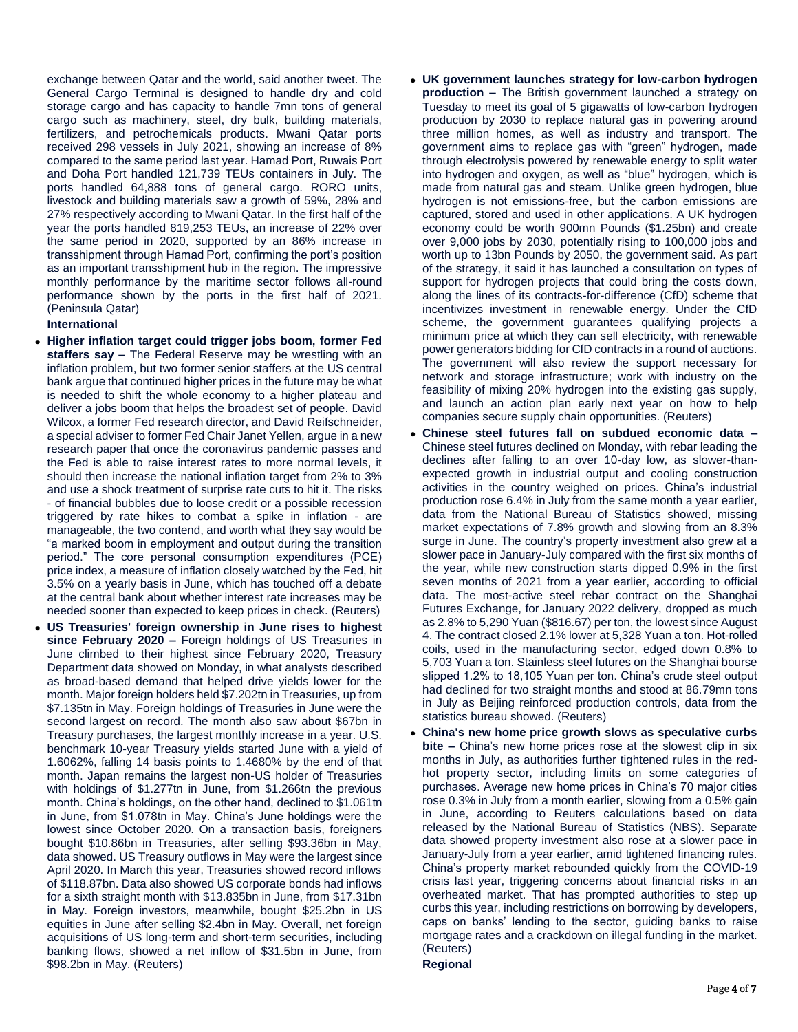exchange between Qatar and the world, said another tweet. The General Cargo Terminal is designed to handle dry and cold storage cargo and has capacity to handle 7mn tons of general cargo such as machinery, steel, dry bulk, building materials, fertilizers, and petrochemicals products. Mwani Qatar ports received 298 vessels in July 2021, showing an increase of 8% compared to the same period last year. Hamad Port, Ruwais Port and Doha Port handled 121,739 TEUs containers in July. The ports handled 64,888 tons of general cargo. RORO units, livestock and building materials saw a growth of 59%, 28% and 27% respectively according to Mwani Qatar. In the first half of the year the ports handled 819,253 TEUs, an increase of 22% over the same period in 2020, supported by an 86% increase in transshipment through Hamad Port, confirming the port's position as an important transshipment hub in the region. The impressive monthly performance by the maritime sector follows all-round performance shown by the ports in the first half of 2021. (Peninsula Qatar)

### **International**

- **Higher inflation target could trigger jobs boom, former Fed staffers say –** The Federal Reserve may be wrestling with an inflation problem, but two former senior staffers at the US central bank argue that continued higher prices in the future may be what is needed to shift the whole economy to a higher plateau and deliver a jobs boom that helps the broadest set of people. David Wilcox, a former Fed research director, and David Reifschneider, a special adviser to former Fed Chair Janet Yellen, argue in a new research paper that once the coronavirus pandemic passes and the Fed is able to raise interest rates to more normal levels, it should then increase the national inflation target from 2% to 3% and use a shock treatment of surprise rate cuts to hit it. The risks - of financial bubbles due to loose credit or a possible recession triggered by rate hikes to combat a spike in inflation - are manageable, the two contend, and worth what they say would be "a marked boom in employment and output during the transition period." The core personal consumption expenditures (PCE) price index, a measure of inflation closely watched by the Fed, hit 3.5% on a yearly basis in June, which has touched off a debate at the central bank about whether interest rate increases may be needed sooner than expected to keep prices in check. (Reuters)
- **US Treasuries' foreign ownership in June rises to highest since February 2020 –** Foreign holdings of US Treasuries in June climbed to their highest since February 2020, Treasury Department data showed on Monday, in what analysts described as broad-based demand that helped drive yields lower for the month. Major foreign holders held \$7.202tn in Treasuries, up from \$7.135tn in May. Foreign holdings of Treasuries in June were the second largest on record. The month also saw about \$67bn in Treasury purchases, the largest monthly increase in a year. U.S. benchmark 10-year Treasury yields started June with a yield of 1.6062%, falling 14 basis points to 1.4680% by the end of that month. Japan remains the largest non-US holder of Treasuries with holdings of \$1.277tn in June, from \$1.266tn the previous month. China's holdings, on the other hand, declined to \$1.061tn in June, from \$1.078tn in May. China's June holdings were the lowest since October 2020. On a transaction basis, foreigners bought \$10.86bn in Treasuries, after selling \$93.36bn in May, data showed. US Treasury outflows in May were the largest since April 2020. In March this year, Treasuries showed record inflows of \$118.87bn. Data also showed US corporate bonds had inflows for a sixth straight month with \$13.835bn in June, from \$17.31bn in May. Foreign investors, meanwhile, bought \$25.2bn in US equities in June after selling \$2.4bn in May. Overall, net foreign acquisitions of US long-term and short-term securities, including banking flows, showed a net inflow of \$31.5bn in June, from \$98.2bn in May. (Reuters)
- **UK government launches strategy for low-carbon hydrogen production –** The British government launched a strategy on Tuesday to meet its goal of 5 gigawatts of low-carbon hydrogen production by 2030 to replace natural gas in powering around three million homes, as well as industry and transport. The government aims to replace gas with "green" hydrogen, made through electrolysis powered by renewable energy to split water into hydrogen and oxygen, as well as "blue" hydrogen, which is made from natural gas and steam. Unlike green hydrogen, blue hydrogen is not emissions-free, but the carbon emissions are captured, stored and used in other applications. A UK hydrogen economy could be worth 900mn Pounds (\$1.25bn) and create over 9,000 jobs by 2030, potentially rising to 100,000 jobs and worth up to 13bn Pounds by 2050, the government said. As part of the strategy, it said it has launched a consultation on types of support for hydrogen projects that could bring the costs down. along the lines of its contracts-for-difference (CfD) scheme that incentivizes investment in renewable energy. Under the CfD scheme, the government guarantees qualifying projects a minimum price at which they can sell electricity, with renewable power generators bidding for CfD contracts in a round of auctions. The government will also review the support necessary for network and storage infrastructure; work with industry on the feasibility of mixing 20% hydrogen into the existing gas supply, and launch an action plan early next year on how to help companies secure supply chain opportunities. (Reuters)
- **Chinese steel futures fall on subdued economic data –** Chinese steel futures declined on Monday, with rebar leading the declines after falling to an over 10-day low, as slower-thanexpected growth in industrial output and cooling construction activities in the country weighed on prices. China's industrial production rose 6.4% in July from the same month a year earlier, data from the National Bureau of Statistics showed, missing market expectations of 7.8% growth and slowing from an 8.3% surge in June. The country's property investment also grew at a slower pace in January-July compared with the first six months of the year, while new construction starts dipped 0.9% in the first seven months of 2021 from a year earlier, according to official data. The most-active steel rebar contract on the Shanghai Futures Exchange, for January 2022 delivery, dropped as much as 2.8% to 5,290 Yuan (\$816.67) per ton, the lowest since August 4. The contract closed 2.1% lower at 5,328 Yuan a ton. Hot-rolled coils, used in the manufacturing sector, edged down 0.8% to 5,703 Yuan a ton. Stainless steel futures on the Shanghai bourse slipped 1.2% to 18,105 Yuan per ton. China's crude steel output had declined for two straight months and stood at 86.79mn tons in July as Beijing reinforced production controls, data from the statistics bureau showed. (Reuters)
- **China's new home price growth slows as speculative curbs bite –** China's new home prices rose at the slowest clip in six months in July, as authorities further tightened rules in the redhot property sector, including limits on some categories of purchases. Average new home prices in China's 70 major cities rose 0.3% in July from a month earlier, slowing from a 0.5% gain in June, according to Reuters calculations based on data released by the National Bureau of Statistics (NBS). Separate data showed property investment also rose at a slower pace in January-July from a year earlier, amid tightened financing rules. China's property market rebounded quickly from the COVID-19 crisis last year, triggering concerns about financial risks in an overheated market. That has prompted authorities to step up curbs this year, including restrictions on borrowing by developers, caps on banks' lending to the sector, guiding banks to raise mortgage rates and a crackdown on illegal funding in the market. (Reuters)
	- **Regional**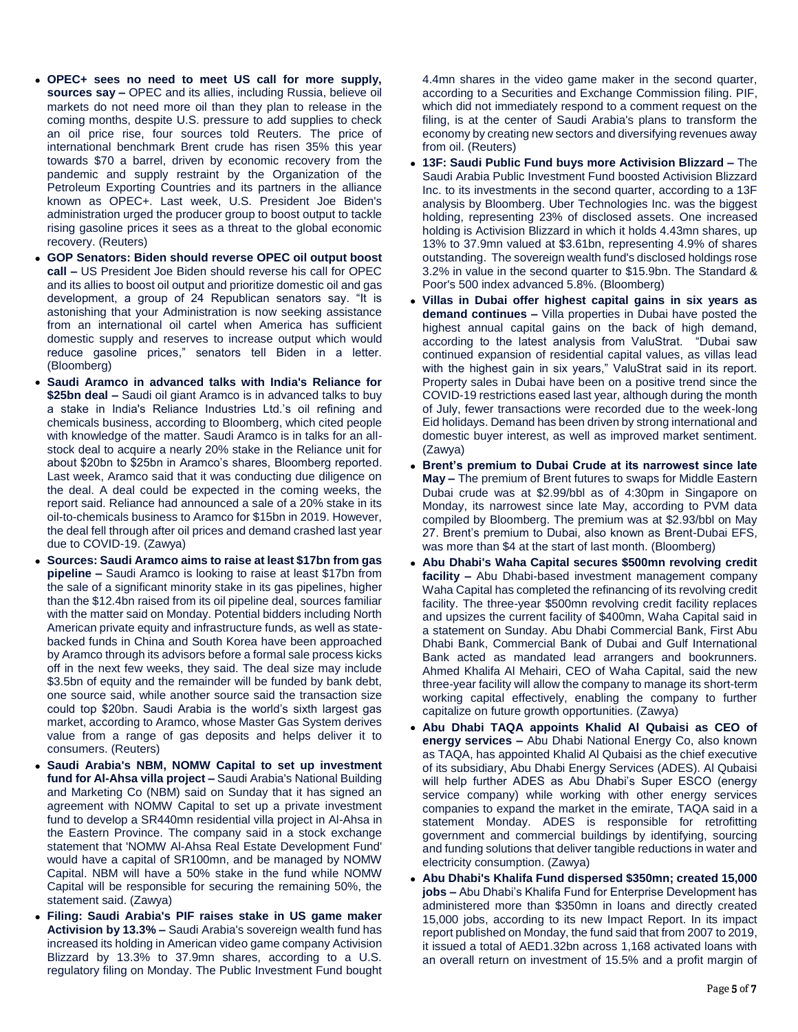- **OPEC+ sees no need to meet US call for more supply, sources say –** OPEC and its allies, including Russia, believe oil markets do not need more oil than they plan to release in the coming months, despite U.S. pressure to add supplies to check an oil price rise, four sources told Reuters. The price of international benchmark Brent crude has risen 35% this year towards \$70 a barrel, driven by economic recovery from the pandemic and supply restraint by the Organization of the Petroleum Exporting Countries and its partners in the alliance known as OPEC+. Last week, U.S. President Joe Biden's administration urged the producer group to boost output to tackle rising gasoline prices it sees as a threat to the global economic recovery. (Reuters)
- **GOP Senators: Biden should reverse OPEC oil output boost call –** US President Joe Biden should reverse his call for OPEC and its allies to boost oil output and prioritize domestic oil and gas development, a group of 24 Republican senators say. "It is astonishing that your Administration is now seeking assistance from an international oil cartel when America has sufficient domestic supply and reserves to increase output which would reduce gasoline prices," senators tell Biden in a letter. (Bloomberg)
- **Saudi Aramco in advanced talks with India's Reliance for \$25bn deal –** Saudi oil giant Aramco is in advanced talks to buy a stake in India's Reliance Industries Ltd.'s oil refining and chemicals business, according to Bloomberg, which cited people with knowledge of the matter. Saudi Aramco is in talks for an allstock deal to acquire a nearly 20% stake in the Reliance unit for about \$20bn to \$25bn in Aramco's shares, Bloomberg reported. Last week, Aramco said that it was conducting due diligence on the deal. A deal could be expected in the coming weeks, the report said. Reliance had announced a sale of a 20% stake in its oil-to-chemicals business to Aramco for \$15bn in 2019. However, the deal fell through after oil prices and demand crashed last year due to COVID-19. (Zawya)
- **Sources: Saudi Aramco aims to raise at least \$17bn from gas pipeline –** Saudi Aramco is looking to raise at least \$17bn from the sale of a significant minority stake in its gas pipelines, higher than the \$12.4bn raised from its oil pipeline deal, sources familiar with the matter said on Monday. Potential bidders including North American private equity and infrastructure funds, as well as statebacked funds in China and South Korea have been approached by Aramco through its advisors before a formal sale process kicks off in the next few weeks, they said. The deal size may include \$3.5bn of equity and the remainder will be funded by bank debt, one source said, while another source said the transaction size could top \$20bn. Saudi Arabia is the world's sixth largest gas market, according to Aramco, whose Master Gas System derives value from a range of gas deposits and helps deliver it to consumers. (Reuters)
- **Saudi Arabia's NBM, NOMW Capital to set up investment fund for Al-Ahsa villa project –** Saudi Arabia's National Building and Marketing Co (NBM) said on Sunday that it has signed an agreement with NOMW Capital to set up a private investment fund to develop a SR440mn residential villa project in Al-Ahsa in the Eastern Province. The company said in a stock exchange statement that 'NOMW Al-Ahsa Real Estate Development Fund' would have a capital of SR100mn, and be managed by NOMW Capital. NBM will have a 50% stake in the fund while NOMW Capital will be responsible for securing the remaining 50%, the statement said. (Zawya)
- **Filing: Saudi Arabia's PIF raises stake in US game maker Activision by 13.3% –** Saudi Arabia's sovereign wealth fund has increased its holding in American video game company Activision Blizzard by 13.3% to 37.9mn shares, according to a U.S. regulatory filing on Monday. The Public Investment Fund bought

4.4mn shares in the video game maker in the second quarter, according to a Securities and Exchange Commission filing. PIF, which did not immediately respond to a comment request on the filing, is at the center of Saudi Arabia's plans to transform the economy by creating new sectors and diversifying revenues away from oil. (Reuters)

- **13F: Saudi Public Fund buys more Activision Blizzard –** The Saudi Arabia Public Investment Fund boosted Activision Blizzard Inc. to its investments in the second quarter, according to a 13F analysis by Bloomberg. Uber Technologies Inc. was the biggest holding, representing 23% of disclosed assets. One increased holding is Activision Blizzard in which it holds 4.43mn shares, up 13% to 37.9mn valued at \$3.61bn, representing 4.9% of shares outstanding. The sovereign wealth fund's disclosed holdings rose 3.2% in value in the second quarter to \$15.9bn. The Standard & Poor's 500 index advanced 5.8%. (Bloomberg)
- **Villas in Dubai offer highest capital gains in six years as demand continues –** Villa properties in Dubai have posted the highest annual capital gains on the back of high demand, according to the latest analysis from ValuStrat. "Dubai saw continued expansion of residential capital values, as villas lead with the highest gain in six years," ValuStrat said in its report. Property sales in Dubai have been on a positive trend since the COVID-19 restrictions eased last year, although during the month of July, fewer transactions were recorded due to the week-long Eid holidays. Demand has been driven by strong international and domestic buyer interest, as well as improved market sentiment. (Zawya)
- **Brent's premium to Dubai Crude at its narrowest since late May –** The premium of Brent futures to swaps for Middle Eastern Dubai crude was at \$2.99/bbl as of 4:30pm in Singapore on Monday, its narrowest since late May, according to PVM data compiled by Bloomberg. The premium was at \$2.93/bbl on May 27. Brent's premium to Dubai, also known as Brent-Dubai EFS, was more than \$4 at the start of last month. (Bloomberg)
- **Abu Dhabi's Waha Capital secures \$500mn revolving credit facility –** Abu Dhabi-based investment management company Waha Capital has completed the refinancing of its revolving credit facility. The three-year \$500mn revolving credit facility replaces and upsizes the current facility of \$400mn, Waha Capital said in a statement on Sunday. Abu Dhabi Commercial Bank, First Abu Dhabi Bank, Commercial Bank of Dubai and Gulf International Bank acted as mandated lead arrangers and bookrunners. Ahmed Khalifa Al Mehairi, CEO of Waha Capital, said the new three-year facility will allow the company to manage its short-term working capital effectively, enabling the company to further capitalize on future growth opportunities. (Zawya)
- **Abu Dhabi TAQA appoints Khalid Al Qubaisi as CEO of energy services –** Abu Dhabi National Energy Co, also known as TAQA, has appointed Khalid Al Qubaisi as the chief executive of its subsidiary, Abu Dhabi Energy Services (ADES). Al Qubaisi will help further ADES as Abu Dhabi's Super ESCO (energy service company) while working with other energy services companies to expand the market in the emirate, TAQA said in a statement Monday. ADES is responsible for retrofitting government and commercial buildings by identifying, sourcing and funding solutions that deliver tangible reductions in water and electricity consumption. (Zawya)
- **Abu Dhabi's Khalifa Fund dispersed \$350mn; created 15,000 jobs –** Abu Dhabi's Khalifa Fund for Enterprise Development has administered more than \$350mn in loans and directly created 15,000 jobs, according to its new Impact Report. In its impact report published on Monday, the fund said that from 2007 to 2019, it issued a total of AED1.32bn across 1,168 activated loans with an overall return on investment of 15.5% and a profit margin of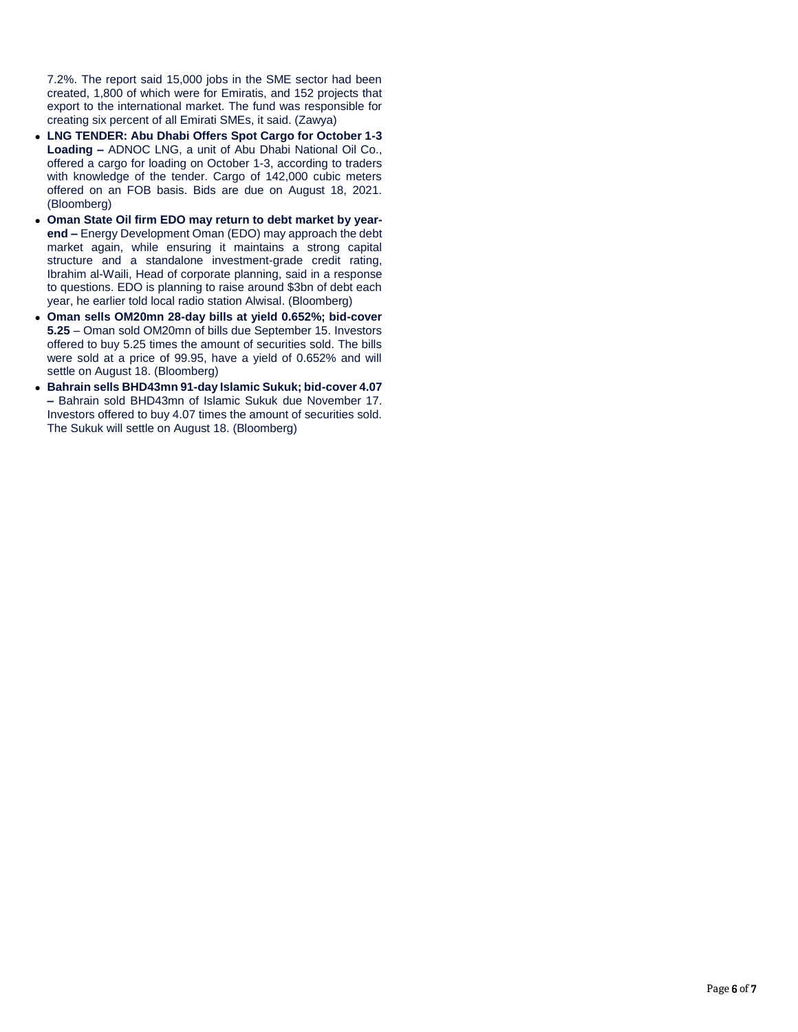7.2%. The report said 15,000 jobs in the SME sector had been created, 1,800 of which were for Emiratis, and 152 projects that export to the international market. The fund was responsible for creating six percent of all Emirati SMEs, it said. (Zawya)

- **LNG TENDER: Abu Dhabi Offers Spot Cargo for October 1-3 Loading –** ADNOC LNG, a unit of Abu Dhabi National Oil Co., offered a cargo for loading on October 1-3, according to traders with knowledge of the tender. Cargo of 142,000 cubic meters offered on an FOB basis. Bids are due on August 18, 2021. (Bloomberg)
- **Oman State Oil firm EDO may return to debt market by yearend –** Energy Development Oman (EDO) may approach the debt market again, while ensuring it maintains a strong capital structure and a standalone investment-grade credit rating, Ibrahim al-Waili, Head of corporate planning, said in a response to questions. EDO is planning to raise around \$3bn of debt each year, he earlier told local radio station Alwisal. (Bloomberg)
- **Oman sells OM20mn 28-day bills at yield 0.652%; bid-cover 5.25** – Oman sold OM20mn of bills due September 15. Investors offered to buy 5.25 times the amount of securities sold. The bills were sold at a price of 99.95, have a yield of 0.652% and will settle on August 18. (Bloomberg)
- **Bahrain sells BHD43mn 91-day Islamic Sukuk; bid-cover 4.07 –** Bahrain sold BHD43mn of Islamic Sukuk due November 17. Investors offered to buy 4.07 times the amount of securities sold. The Sukuk will settle on August 18. (Bloomberg)